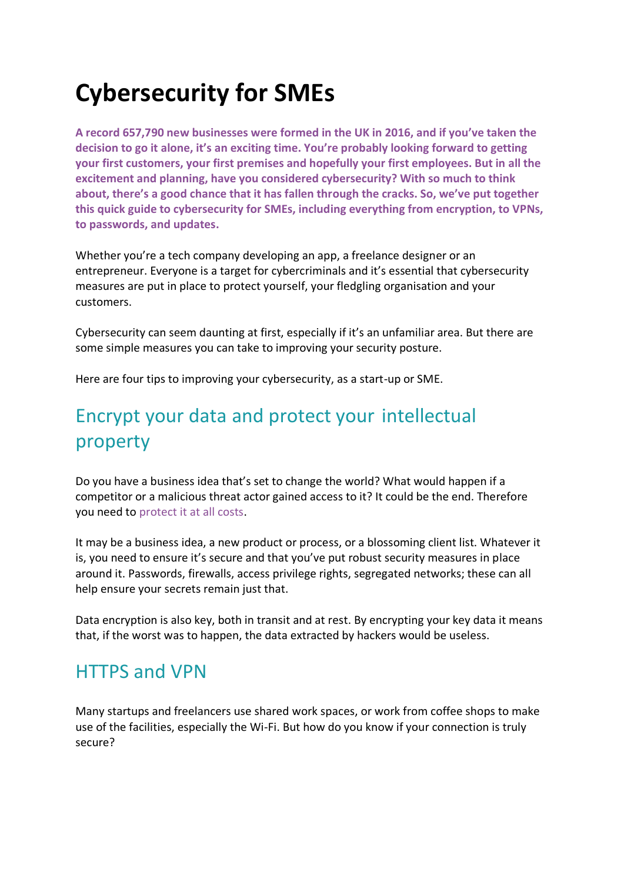# **Cybersecurity for SMEs**

**A record 657,790 new businesses were formed in the UK in 2016, and if you've taken the decision to go it alone, it's an exciting time. You're probably looking forward to getting your first customers, your first premises and hopefully your first employees. But in all the excitement and planning, have you considered cybersecurity? With so much to think about, there's a good chance that it has fallen through the cracks. So, we've put together this quick guide to cybersecurity for SMEs, including everything from encryption, to VPNs, to passwords, and updates.**

Whether you're a tech company developing an app, a freelance designer or an entrepreneur. Everyone is a target for cybercriminals and it's essential that cybersecurity measures are put in place to protect yourself, your fledgling organisation and your customers.

Cybersecurity can seem daunting at first, especially if it's an unfamiliar area. But there are some simple measures you can take to improving your security posture.

Here are four tips to improving your cybersecurity, as a start-up or SME.

## Encrypt your data and protect your intellectual property

Do you have a business idea that's set to change the world? What would happen if a competitor or a malicious threat actor gained access to it? It could be the end. Therefore you need to [protect it at all costs.](https://www.secarma.com/keeping-your-intellectual-property-secure/)

It may be a business idea, a new product or process, or a blossoming client list. Whatever it is, you need to ensure it's secure and that you've put robust security measures in place around it. Passwords, firewalls, access privilege rights, segregated networks; these can all help ensure your secrets remain just that.

Data encryption is also key, both in transit and at rest. By encrypting your key data it means that, if the worst was to happen, the data extracted by hackers would be useless.

#### HTTPS and VPN

Many startups and freelancers use shared work spaces, or work from coffee shops to make use of the facilities, especially the Wi-Fi. But how do you know if your connection is truly secure?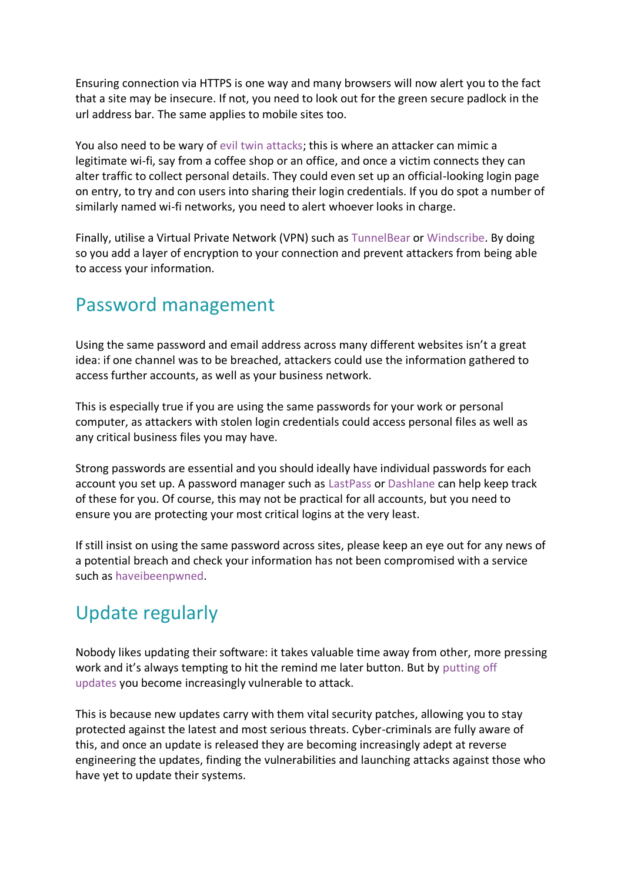Ensuring connection via HTTPS is one way and many browsers will now alert you to the fact that a site may be insecure. If not, you need to look out for the green secure padlock in the url address bar. The same applies to mobile sites too.

You also need to be wary of [evil twin attacks;](https://www.techopedia.com/definition/5057/evil-twin) this is where an attacker can mimic a legitimate wi-fi, say from a coffee shop or an office, and once a victim connects they can alter traffic to collect personal details. They could even set up an official-looking login page on entry, to try and con users into sharing their login credentials. If you do spot a number of similarly named wi-fi networks, you need to alert whoever looks in charge.

Finally, utilise a Virtual Private Network (VPN) such as [TunnelBear](https://www.tunnelbear.com/) or [Windscribe.](https://windscribe.com/) By doing so you add a layer of encryption to your connection and prevent attackers from being able to access your information.

#### Password management

Using the same password and email address across many different websites isn't a great idea: if one channel was to be breached, attackers could use the information gathered to access further accounts, as well as your business network.

This is especially true if you are using the same passwords for your work or personal computer, as attackers with stolen login credentials could access personal files as well as any critical business files you may have.

Strong passwords are essential and you should ideally have individual passwords for each account you set up. A password manager such as [LastPass](https://www.lastpass.com/) or [Dashlane](https://www.dashlane.com/) can help keep track of these for you. Of course, this may not be practical for all accounts, but you need to ensure you are protecting your most critical logins at the very least.

If still insist on using the same password across sites, please keep an eye out for any news of a potential breach and check your information has not been compromised with a service such as [haveibeenpwned.](https://haveibeenpwned.com/)

## Update regularly

Nobody likes updating their software: it takes valuable time away from other, more pressing work and it's always tempting to hit the remind me later button. But by [putting off](https://www.secarma.com/the-importance-of-patching/)  [updates](https://www.secarma.com/the-importance-of-patching/) you become increasingly vulnerable to attack.

This is because new updates carry with them vital security patches, allowing you to stay protected against the latest and most serious threats. Cyber-criminals are fully aware of this, and once an update is released they are becoming increasingly adept at reverse engineering the updates, finding the vulnerabilities and launching attacks against those who have yet to update their systems.